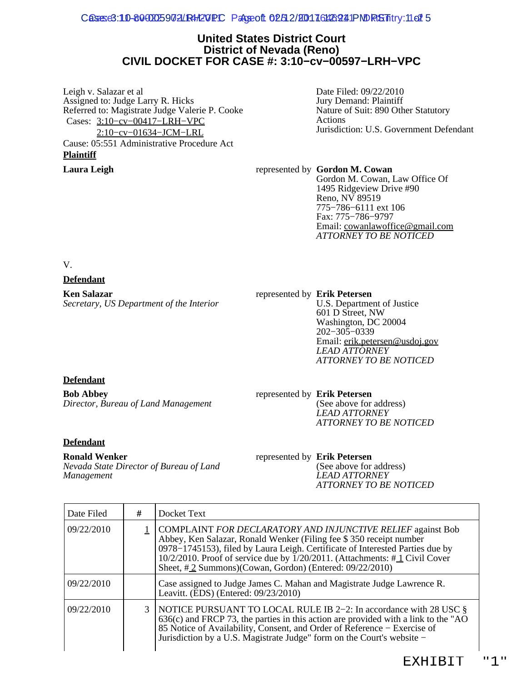#### Cases e3:10-80 00025 9 0 2 LR4 20 PC Page oft 0 2 5 2 / 200 1 7 6 426 2 4 1 PM RS Fatry: 1-2 1 5

### **United States District Court District of Nevada (Reno) CIVIL DOCKET FOR CASE #: 3:10−cv−00597−LRH−VPC**

Leigh v. Salazar et al Assigned to: Judge Larry R. Hicks Referred to: Magistrate Judge Valerie P. Cooke Cases: [3:10−cv−00417−LRH−VPC](https://ecf.nvd.uscourts.gov/cgi-bin/DktRpt.pl?74659) [2:10−cv−01634−JCM−LRL](https://ecf.nvd.uscourts.gov/cgi-bin/DktRpt.pl?76375) Cause: 05:551 Administrative Procedure Act **Plaintiff**

Date Filed: 09/22/2010 Jury Demand: Plaintiff Nature of Suit: 890 Other Statutory Actions Jurisdiction: U.S. Government Defendant

**Laura Leigh** represented by **Gordon M. Cowan** Gordon M. Cowan, Law Office Of 1495 Ridgeview Drive #90 Reno, NV 89519 775−786−6111 ext 106 Fax: 775−786−9797 Email: [cowanlawoffice@gmail.com](mailto:cowanlawoffice@gmail.com) *ATTORNEY TO BE NOTICED*

V.

### **Defendant**

**Ken Salazar** *Secretary, US Department of the Interior*

#### represented by **Erik Petersen**

U.S. Department of Justice 601 D Street, NW Washington, DC 20004 202−305−0339 Email: [erik.petersen@usdoj.gov](mailto:erik.petersen@usdoj.gov) *LEAD ATTORNEY ATTORNEY TO BE NOTICED*

### **Defendant**

**Bob Abbey** *Director, Bureau of Land Management* represented by **Erik Petersen**

(See above for address) *LEAD ATTORNEY ATTORNEY TO BE NOTICED*

#### **Defendant**

**Ronald Wenker**

*Nevada State Director of Bureau of Land Management*

represented by **Erik Petersen** (See above for address) *LEAD ATTORNEY ATTORNEY TO BE NOTICED*

| Date Filed | # | Docket Text                                                                                                                                                                                                                                                                                                                                                              |
|------------|---|--------------------------------------------------------------------------------------------------------------------------------------------------------------------------------------------------------------------------------------------------------------------------------------------------------------------------------------------------------------------------|
| 09/22/2010 |   | 1 COMPLAINT FOR DECLARATORY AND INJUNCTIVE RELIEF against Bob<br>Abbey, Ken Salazar, Ronald Wenker (Filing fee \$350 receipt number<br>0978–1745153), filed by Laura Leigh. Certificate of Interested Parties due by<br>10/2/2010. Proof of service due by $\frac{1}{20/2011}$ . (Attachments: #1 Civil Cover<br>Sheet, #2 Summons)(Cowan, Gordon) (Entered: 09/22/2010) |
| 09/22/2010 |   | Case assigned to Judge James C. Mahan and Magistrate Judge Lawrence R.<br>Leavitt. (EDS) (Entered: 09/23/2010)                                                                                                                                                                                                                                                           |
| 09/22/2010 | 3 | NOTICE PURSUANT TO LOCAL RULE IB 2-2: In accordance with 28 USC $\S$<br>$636(c)$ and FRCP 73, the parties in this action are provided with a link to the "AO<br>85 Notice of Availability, Consent, and Order of Reference – Exercise of<br>Jurisdiction by a U.S. Magistrate Judge" form on the Court's website -                                                       |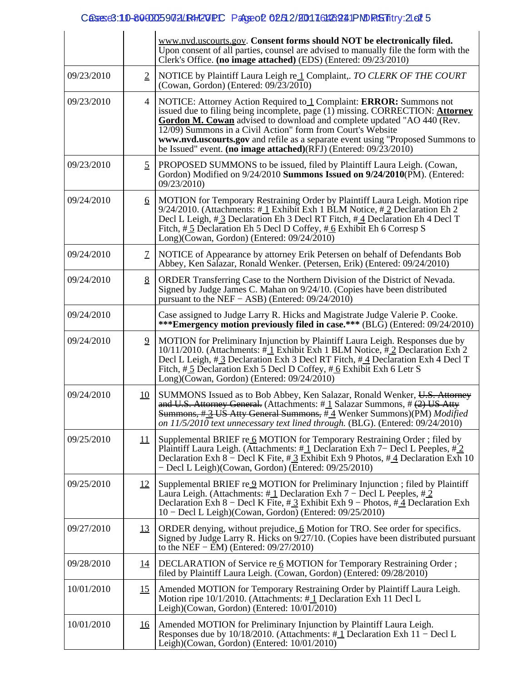## Cases: 10-8000025902LR4-120PC Pageo2 02512/20017161426241PNDRGSTitry: 2-21 5

|            |                           | www.nvd.uscourts.gov. Consent forms should NOT be electronically filed.<br>Upon consent of all parties, counsel are advised to manually file the form with the<br>Clerk's Office. (no image attached) (EDS) (Entered: 09/23/2010)                                                                                                                                                                                                                   |
|------------|---------------------------|-----------------------------------------------------------------------------------------------------------------------------------------------------------------------------------------------------------------------------------------------------------------------------------------------------------------------------------------------------------------------------------------------------------------------------------------------------|
| 09/23/2010 | $\overline{2}$            | NOTICE by Plaintiff Laura Leigh re 1 Complaint, TO CLERK OF THE COURT<br>(Cowan, Gordon) (Entered: $09\overline{2}3\overline{2}010$ )                                                                                                                                                                                                                                                                                                               |
| 09/23/2010 | 4                         | NOTICE: Attorney Action Required to 1 Complaint: ERROR: Summons not<br>issued due to filing being incomplete, page (1) missing. CORRECTION: Attorney<br>Gordon M. Cowan advised to download and complete updated "AO 440 (Rev.<br>12/09) Summons in a Civil Action" form from Court's Website<br>www.nvd.uscourts.gov and refile as a separate event using "Proposed Summons to<br>be Issued" event. (no image attached)(RFJ) (Entered: 09/23/2010) |
| 09/23/2010 | $\overline{5}$            | PROPOSED SUMMONS to be issued, filed by Plaintiff Laura Leigh. (Cowan,<br>Gordon) Modified on 9/24/2010 Summons Issued on 9/24/2010(PM). (Entered:<br>09/23/2010)                                                                                                                                                                                                                                                                                   |
| 09/24/2010 | 6                         | MOTION for Temporary Restraining Order by Plaintiff Laura Leigh. Motion ripe<br>9/24/2010. (Attachments: $\#$ 1 Exhibit Exh 1 BLM Notice, $\#$ 2 Declaration Eh 2<br>Decl L Leigh, #3 Declaration Eh 3 Decl RT Fitch, #4 Declaration Eh 4 Decl T<br>Fitch, #5 Declaration Eh 5 Decl D Coffey, #6 Exhibit Eh 6 Corresp S<br>Long)(Cowan, Gordon) (Entered: $09/24/2010$ )                                                                            |
| 09/24/2010 | $\mathcal{I}$             | NOTICE of Appearance by attorney Erik Petersen on behalf of Defendants Bob<br>Abbey, Ken Salazar, Ronald Wenker. (Petersen, Erik) (Entered: 09/24/2010)                                                                                                                                                                                                                                                                                             |
| 09/24/2010 | 8                         | ORDER Transferring Case to the Northern Division of the District of Nevada.<br>Signed by Judge James C. Mahan on 9/24/10. (Copies have been distributed<br>pursuant to the NEF $-$ ASB) (Entered: $09/24/2010$ )                                                                                                                                                                                                                                    |
| 09/24/2010 |                           | Case assigned to Judge Larry R. Hicks and Magistrate Judge Valerie P. Cooke.<br>***Emergency motion previously filed in case.*** (BLG) (Entered: 09/24/2010)                                                                                                                                                                                                                                                                                        |
| 09/24/2010 | $\overline{9}$            | MOTION for Preliminary Injunction by Plaintiff Laura Leigh. Responses due by<br>10/11/2010. (Attachments: #1 Exhibit Exh 1 BLM Notice, #2 Declaration Exh 2<br>Decl L Leigh, #3 Declaration Exh 3 Decl RT Fitch, #4 Declaration Exh 4 Decl T<br>Fitch, $\#$ 5 Declaration Exh 5 Decl D Coffey, $\#$ 6 Exhibit Exh 6 Letr S<br>Long)(Cowan, Gordon) (Entered: $09/24/2010$ )                                                                         |
| 09/24/2010 | <u>10</u>                 | SUMMONS Issued as to Bob Abbey, Ken Salazar, Ronald Wenker, U.S. Attorney<br>and U.S. Attorney General. (Attachments: $\#$ 1 Salazar Summons, $\#$ (2) US Atty<br>Summons, #3 US Atty General Summons, #4 Wenker Summons)(PM) Modified<br>on $11/5/2010$ text unnecessary text lined through. (BLG). (Entered: $09/24/2010$ )                                                                                                                       |
| 09/25/2010 | $\overline{\mathfrak{1}}$ | Supplemental BRIEF re 6 MOTION for Temporary Restraining Order; filed by<br>Plaintiff Laura Leigh. (Attachments: $\#\underline{1}$ Declaration Exh 7– Decl L Peeples, $\#\underline{2}$<br>Declaration Exh 8 – Decl K Fite, # $\frac{3}{2}$ Exhibit Exh 9 Photos, # $\frac{4}{2}$ Declaration Exh 10<br>- Decl L Leigh)(Cowan, Gordon) (Entered: 09/25/2010)                                                                                        |
| 09/25/2010 | <u>12</u>                 | Supplemental BRIEF re $9$ MOTION for Preliminary Injunction; filed by Plaintiff<br>Laura Leigh. (Attachments: $\#\underline{1}$ Declaration Exh 7 – Decl L Peeples, $\#\underline{2}$<br>Declaration Exh 8 – Decl K Fite, # 3 Exhibit Exh 9 – Photos, # 4 Declaration Exh<br>10 – Decl L Leigh)(Cowan, Gordon) (Entered: 09/25/2010)                                                                                                                |
| 09/27/2010 | <u>13</u>                 | ORDER denying, without prejudice, 6 Motion for TRO. See order for specifics.<br>Signed by Judge Larry R. Hicks on 9/27/10. (Copies have been distributed pursuant<br>to the NEF $-$ EM) (Entered: 09/27/2010)                                                                                                                                                                                                                                       |
| 09/28/2010 | <u>14</u>                 | DECLARATION of Service re 6 MOTION for Temporary Restraining Order;<br>filed by Plaintiff Laura Leigh. (Cowan, Gordon) (Entered: 09/28/2010)                                                                                                                                                                                                                                                                                                        |
| 10/01/2010 | <u>15</u>                 | Amended MOTION for Temporary Restraining Order by Plaintiff Laura Leigh.<br>Motion ripe $10/1/2010$ . (Attachments: #1 Declaration Exh 11 Decl L<br>Leigh)(Cowan, Gordon) (Entered: 10/01/2010)                                                                                                                                                                                                                                                     |
| 10/01/2010 | <u>16</u>                 | Amended MOTION for Preliminary Injunction by Plaintiff Laura Leigh.<br>Responses due by 10/18/2010. (Attachments: $\#$ 1 Declaration Exh 11 – Decl L<br>Leigh)(Cowan, Gordon) (Entered: 10/01/2010)                                                                                                                                                                                                                                                 |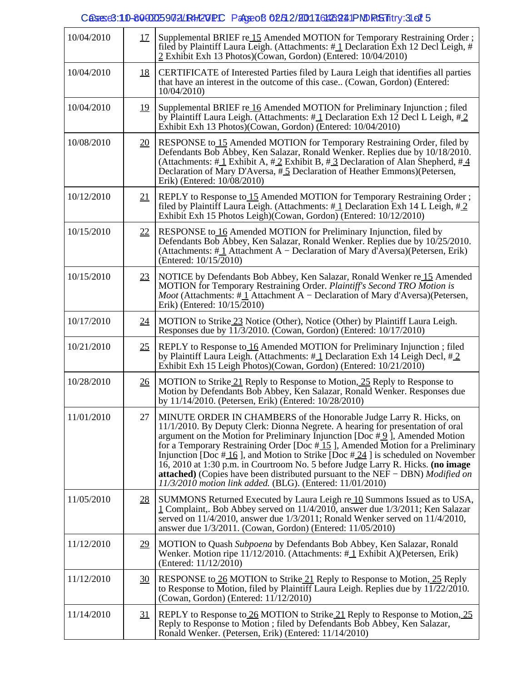# Cases: 10-80000259721 R4+20PC PageoB 02512/20017161426241 PND RtS Titry: 3-21 5

| 10/04/2010 | 17               | Supplemental BRIEF re 15 Amended MOTION for Temporary Restraining Order;<br>filed by Plaintiff Laura Leigh. (Attachments: #1 Declaration Exh 12 Decl Leigh, #<br>2 Exhibit Exh 13 Photos)(Cowan, Gordon) (Entered: 10/04/2010)                                                                                                                                                                                                                                                                                                                                                                                                                                        |
|------------|------------------|-----------------------------------------------------------------------------------------------------------------------------------------------------------------------------------------------------------------------------------------------------------------------------------------------------------------------------------------------------------------------------------------------------------------------------------------------------------------------------------------------------------------------------------------------------------------------------------------------------------------------------------------------------------------------|
| 10/04/2010 | <u>18</u>        | CERTIFICATE of Interested Parties filed by Laura Leigh that identifies all parties<br>that have an interest in the outcome of this case (Cowan, Gordon) (Entered:<br>10/04/2010                                                                                                                                                                                                                                                                                                                                                                                                                                                                                       |
| 10/04/2010 | <u>19</u>        | Supplemental BRIEF re 16 Amended MOTION for Preliminary Injunction; filed<br>by Plaintiff Laura Leigh. (Attachments: $\#$ 1 Declaration Exh 12 Decl L Leigh, $\#$ 2<br>Exhibit Exh 13 Photos)(Cowan, Gordon) (Entered: 10/04/2010)                                                                                                                                                                                                                                                                                                                                                                                                                                    |
| 10/08/2010 | <u>20</u>        | RESPONSE to 15 Amended MOTION for Temporary Restraining Order, filed by<br>Defendants Bob Abbey, Ken Salazar, Ronald Wenker. Replies due by 10/18/2010.<br>(Attachments: #1 Exhibit A, #2 Exhibit B, #3 Declaration of Alan Shepherd, #4<br>Declaration of Mary D'Aversa, #5 Declaration of Heather Emmons) (Petersen,<br>Erik) (Entered: 10/08/2010)                                                                                                                                                                                                                                                                                                                 |
| 10/12/2010 | 21               | REPLY to Response to 15 Amended MOTION for Temporary Restraining Order;<br>filed by Plaintiff Laura Leigh. (Attachments: $\#$ 1 Declaration Exh 14 L Leigh, $\#$ 2<br>Exhibit Exh 15 Photos Leigh)(Cowan, Gordon) (Entered: 10/12/2010)                                                                                                                                                                                                                                                                                                                                                                                                                               |
| 10/15/2010 | 22               | RESPONSE to 16 Amended MOTION for Preliminary Injunction, filed by<br>Defendants Bob Abbey, Ken Salazar, Ronald Wenker. Replies due by 10/25/2010.<br>(Attachments: #1 Attachment A - Declaration of Mary d'Aversa)(Petersen, Erik)<br>(Entered: 10/15/2010)                                                                                                                                                                                                                                                                                                                                                                                                          |
| 10/15/2010 | 23               | NOTICE by Defendants Bob Abbey, Ken Salazar, Ronald Wenker re 15 Amended<br>MOTION for Temporary Restraining Order. Plaintiff's Second TRO Motion is<br><i>Moot</i> (Attachments: $\#$ <u>1</u> Attachment A – Declaration of Mary d'Aversa)(Petersen,<br>Erik) (Entered: 10/15/2010)                                                                                                                                                                                                                                                                                                                                                                                 |
| 10/17/2010 | 24               | MOTION to Strike 23 Notice (Other), Notice (Other) by Plaintiff Laura Leigh.<br>Responses due by 11/3/2010. (Cowan, Gordon) (Entered: 10/17/2010)                                                                                                                                                                                                                                                                                                                                                                                                                                                                                                                     |
| 10/21/2010 | 25               | REPLY to Response to 16 Amended MOTION for Preliminary Injunction; filed<br>by Plaintiff Laura Leigh. (Attachments: $\#$ 1 Declaration Exh 14 Leigh Decl, $\#$ 2<br>Exhibit Exh 15 Leigh Photos)(Cowan, Gordon) (Entered: 10/21/2010)                                                                                                                                                                                                                                                                                                                                                                                                                                 |
| 10/28/2010 | <u>26</u>        | MOTION to Strike 21 Reply to Response to Motion, 25 Reply to Response to<br>Motion by Defendants Bob Abbey, Ken Salazar, Ronald Wenker. Responses due<br>by 11/14/2010. (Petersen, Erik) (Entered: 10/28/2010)                                                                                                                                                                                                                                                                                                                                                                                                                                                        |
| 11/01/2010 | 27               | MINUTE ORDER IN CHAMBERS of the Honorable Judge Larry R. Hicks, on<br>11/1/2010. By Deputy Clerk: Dionna Negrete. A hearing for presentation of oral<br>argument on the Motion for Preliminary Injunction [Doc $\#$ 9], Amended Motion<br>for a Temporary Restraining Order [Doc $\#15$ ], Amended Motion for a Preliminary<br>Injunction [Doc $\#$ 16], and Motion to Strike [Doc $\#$ 24] is scheduled on November<br>16, 2010 at 1:30 p.m. in Courtroom No. 5 before Judge Larry R. Hicks. (no image<br><b>attached</b> ) (Copies have been distributed pursuant to the NEF – DBN) <i>Modified on</i><br>11/3/2010 motion link added. (BLG). (Entered: 11/01/2010) |
| 11/05/2010 | <u>28</u>        | SUMMONS Returned Executed by Laura Leigh re 10 Summons Issued as to USA,<br>1 Complaint,. Bob Abbey served on 11/4/2010, answer due 1/3/2011; Ken Salazar<br>served on 11/4/2010, answer due 1/3/2011; Ronald Wenker served on 11/4/2010,<br>answer due 1/3/2011. (Cowan, Gordon) (Entered: 11/05/2010)                                                                                                                                                                                                                                                                                                                                                               |
| 11/12/2010 | 29               | MOTION to Quash Subpoena by Defendants Bob Abbey, Ken Salazar, Ronald<br>Wenker. Motion ripe $11/12/2010$ . (Attachments: $\#$ 1 Exhibit A)(Petersen, Erik)<br>(Entered: 11/12/2010)                                                                                                                                                                                                                                                                                                                                                                                                                                                                                  |
| 11/12/2010 | $\underline{30}$ | RESPONSE to 26 MOTION to Strike 21 Reply to Response to Motion, 25 Reply<br>to Response to Motion, filed by Plaintiff Laura Leigh. Replies due by 11/22/2010.<br>(Cowan, Gordon) (Entered: 11/12/2010)                                                                                                                                                                                                                                                                                                                                                                                                                                                                |
| 11/14/2010 | <u>31</u>        | REPLY to Response to 26 MOTION to Strike 21 Reply to Response to Motion, 25<br>Reply to Response to Motion ; filed by Defendants Bob Abbey, Ken Salazar,<br>Ronald Wenker. (Petersen, Erik) (Entered: 11/14/2010)                                                                                                                                                                                                                                                                                                                                                                                                                                                     |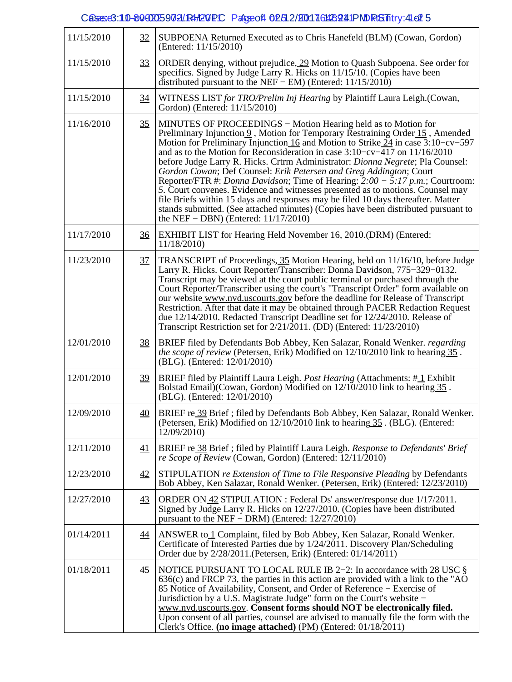### Cases e3: 10-80 00025 9 0 2 / R4 20 PC Page of 0 2 5 2 / 20 1 7 6 4 2 4 1 PM RS Thtry: 4- 2 1 5

| 11/15/2010 | 32               | SUBPOENA Returned Executed as to Chris Hanefeld (BLM) (Cowan, Gordon)<br>(Entered: 11/15/2010)                                                                                                                                                                                                                                                                                                                                                                                                                                                                                                                                                                                                                                                                                                                                                                                |
|------------|------------------|-------------------------------------------------------------------------------------------------------------------------------------------------------------------------------------------------------------------------------------------------------------------------------------------------------------------------------------------------------------------------------------------------------------------------------------------------------------------------------------------------------------------------------------------------------------------------------------------------------------------------------------------------------------------------------------------------------------------------------------------------------------------------------------------------------------------------------------------------------------------------------|
| 11/15/2010 | 33               | ORDER denying, without prejudice, 29 Motion to Quash Subpoena. See order for<br>specifics. Signed by Judge Larry R. Hicks on 11/15/10. (Copies have been<br>distributed pursuant to the NEF – EM) (Entered: $11/15/2010$ )                                                                                                                                                                                                                                                                                                                                                                                                                                                                                                                                                                                                                                                    |
| 11/15/2010 | 34               | WITNESS LIST for TRO/Prelim Inj Hearing by Plaintiff Laura Leigh.(Cowan,<br>Gordon) (Entered: 11/15/2010)                                                                                                                                                                                                                                                                                                                                                                                                                                                                                                                                                                                                                                                                                                                                                                     |
| 11/16/2010 | 35               | MINUTES OF PROCEEDINGS - Motion Hearing held as to Motion for<br>Preliminary Injunction 9, Motion for Temporary Restraining Order 15, Amended<br>Motion for Preliminary Injunction 16 and Motion to Strike $24$ in case 3:10-cv-597<br>and as to the Motion for Reconsideration in case 3:10–cv–417 on 11/16/2010<br>before Judge Larry R. Hicks. Crtrm Administrator: Dionna Negrete; Pla Counsel:<br>Gordon Cowan; Def Counsel: Erik Petersen and Greg Addington; Court<br>Reporter/FTR #: <i>Donna Davidson</i> ; Time of Hearing: $2:00 - 5:17$ p.m.; Courtroom:<br>5. Court convenes. Evidence and witnesses presented as to motions. Counsel may<br>file Briefs within 15 days and responses may be filed 10 days thereafter. Matter<br>stands submitted. (See attached minutes) (Copies have been distributed pursuant to<br>the NEF $-$ DBN) (Entered: $11/17/2010$ ) |
| 11/17/2010 | $\underline{36}$ | EXHIBIT LIST for Hearing Held November 16, 2010.(DRM) (Entered:<br>11/18/2010)                                                                                                                                                                                                                                                                                                                                                                                                                                                                                                                                                                                                                                                                                                                                                                                                |
| 11/23/2010 | 37               | TRANSCRIPT of Proceedings, 35 Motion Hearing, held on 11/16/10, before Judge<br>Larry R. Hicks. Court Reporter/Transcriber: Donna Davidson, 775–329–0132.<br>Transcript may be viewed at the court public terminal or purchased through the<br>Court Reporter/Transcriber using the court's "Transcript Order" form available on<br>our website www.nvd.uscourts.gov before the deadline for Release of Transcript<br>Restriction. After that date it may be obtained through PACER Redaction Request<br>due 12/14/2010. Redacted Transcript Deadline set for 12/24/2010. Release of<br>Transcript Restriction set for 2/21/2011. (DD) (Entered: 11/23/2010)                                                                                                                                                                                                                  |
| 12/01/2010 | <u>38</u>        | BRIEF filed by Defendants Bob Abbey, Ken Salazar, Ronald Wenker. regarding<br>the scope of review (Petersen, Erik) Modified on 12/10/2010 link to hearing 35.<br>(BLG). (Entered: 12/01/2010)                                                                                                                                                                                                                                                                                                                                                                                                                                                                                                                                                                                                                                                                                 |
| 12/01/2010 | 39               | BRIEF filed by Plaintiff Laura Leigh. Post Hearing (Attachments: #1 Exhibit<br>Bolstad Email)(Cowan, Gordon) Modified on 12/10/2010 link to hearing 35.<br>(BLG). (Entered: 12/01/2010)                                                                                                                                                                                                                                                                                                                                                                                                                                                                                                                                                                                                                                                                                       |
| 12/09/2010 | 40               | BRIEF re 39 Brief ; filed by Defendants Bob Abbey, Ken Salazar, Ronald Wenker.<br>(Petersen, Erik) Modified on 12/10/2010 link to hearing 35. (BLG). (Entered:<br>12/09/2010)                                                                                                                                                                                                                                                                                                                                                                                                                                                                                                                                                                                                                                                                                                 |
| 12/11/2010 | 41               | BRIEF re 38 Brief; filed by Plaintiff Laura Leigh. Response to Defendants' Brief<br>re Scope of Review (Cowan, Gordon) (Entered: 12/11/2010)                                                                                                                                                                                                                                                                                                                                                                                                                                                                                                                                                                                                                                                                                                                                  |
| 12/23/2010 | 42               | STIPULATION re Extension of Time to File Responsive Pleading by Defendants<br>Bob Abbey, Ken Salazar, Ronald Wenker. (Petersen, Erik) (Entered: 12/23/2010)                                                                                                                                                                                                                                                                                                                                                                                                                                                                                                                                                                                                                                                                                                                   |
| 12/27/2010 | 43               | ORDER ON 42 STIPULATION : Federal Ds' answer/response due 1/17/2011.<br>Signed by Judge Larry R. Hicks on 12/27/2010. (Copies have been distributed<br>pursuant to the NEF – DRM) (Entered: $12/27/2010$ )                                                                                                                                                                                                                                                                                                                                                                                                                                                                                                                                                                                                                                                                    |
| 01/14/2011 | <u>44</u>        | ANSWER to 1 Complaint, filed by Bob Abbey, Ken Salazar, Ronald Wenker.<br>Certificate of Interested Parties due by 1/24/2011. Discovery Plan/Scheduling<br>Order due by 2/28/2011. (Petersen, Erik) (Entered: 01/14/2011)                                                                                                                                                                                                                                                                                                                                                                                                                                                                                                                                                                                                                                                     |
| 01/18/2011 | 45               | NOTICE PURSUANT TO LOCAL RULE IB 2-2: In accordance with 28 USC §<br>$636(c)$ and FRCP 73, the parties in this action are provided with a link to the "AO<br>85 Notice of Availability, Consent, and Order of Reference – Exercise of<br>Jurisdiction by a U.S. Magistrate Judge" form on the Court's website –<br>www.nvd.uscourts.gov. Consent forms should NOT be electronically filed.<br>Upon consent of all parties, counsel are advised to manually file the form with the<br>Clerk's Office. (no image attached) (PM) (Entered: 01/18/2011)                                                                                                                                                                                                                                                                                                                           |